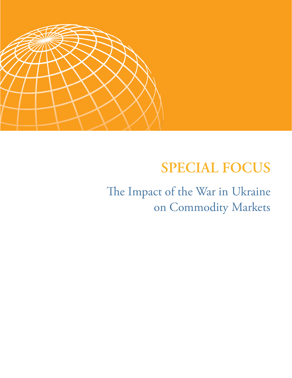

# **SPECIAL FOCUS**

The Impact of the War in Ukraine on Commodity Markets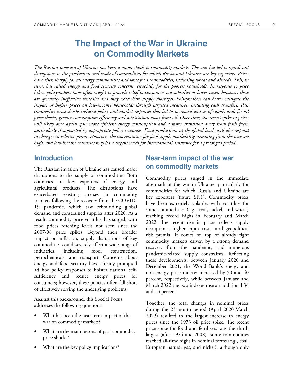# **The Impact of the War in Ukraine on Commodity Markets**

*The Russian invasion of Ukraine has been a major shock to commodity markets. The war has led to significant disruptions to the production and trade of commodities for which Russia and Ukraine are key exporters. Prices have risen sharply for all energy commodities and some food commodities, including wheat and oilseeds. This, in turn, has raised energy and food security concerns, especially for the poorest households. In response to price hikes, policymakers have often sought to provide relief to consumers via subsidies or lower taxes; however, these are generally ineffective remedies and may exacerbate supply shortages. Policymakers can better mitigate the impact of higher prices on low-income households through targeted measures, including cash transfers. Past commodity price shocks induced policy and market responses that led to increased sources of supply and, for oil price shocks, greater consumption efficiency and substitution away from oil. Over time, the recent spike in prices will likely once again spur more efficient energy consumption and a faster transition away from fossil fuels, particularly if supported by appropriate policy responses. Food production, at the global level, will also respond to changes in relative prices. However, the uncertainties for food supply availability stemming from the war are high, and low-income countries may have urgent needs for international assistance for a prolonged period.* 

### **Introduction**

The Russian invasion of Ukraine has caused major disruptions to the supply of commodities. Both countries are key exporters of energy and agricultural products. The disruptions have exacerbated existing stresses in commodity markets following the recovery from the COVID-19 pandemic, which saw rebounding global demand and constrained supplies after 2020. As a result, commodity price volatility has surged, with food prices reaching levels not seen since the 2007-08 price spikes. Beyond their broader impact on inflation, supply disruptions of key commodities could severely affect a wide range of industries, including food, construction, petrochemicals, and transport. Concerns about energy and food security have already prompted ad hoc policy responses to bolster national selfsufficiency and reduce energy prices for consumers; however, these policies often fall short of effectively solving the underlying problems.

Against this background, this Special Focus addresses the following questions:

- What has been the near-term impact of the war on commodity markets?
- What are the main lessons of past commodity price shocks?
- What are the key policy implications?

### **Near-term impact of the war on commodity markets**

Commodity prices surged in the immediate aftermath of the war in Ukraine, particularly for commodities for which Russia and Ukraine are key exporters (figure SF.1). Commodity prices have been extremely volatile, with volatility for some commodities (e.g., coal, nickel, and wheat) reaching record highs in February and March 2022. The recent rise in prices reflects supply disruptions, higher input costs, and geopolitical risk premia. It comes on top of already tight commodity markets driven by a strong demand recovery from the pandemic, and numerous pandemic-related supply constraints. Reflecting these developments, between January 2020 and December 2021, the World Bank's energy and non-energy price indexes increased by 50 and 40 percent, respectively, while between January and March 2022 the two indexes rose an additional 34 and 13 percent.

Together, the total changes in nominal prices during the 23-month period (April 2020-March 2022) resulted in the largest increase in energy prices since the 1973 oil price spike. The recent price spike for food and fertilizers was the thirdlargest (after 1974 and 2008). Some commodities reached all-time highs in nominal terms (e.g., coal, European natural gas, and nickel), although only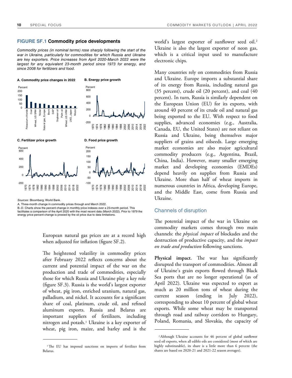#### **FIGURE SF.1 Commodity price developments**

Commodity prices (in nominal terms) rose sharply following the start of the war in Ukraine, particularly for commodities for which Russia and Ukraine are key exporters. Price increases from April 2020-March 2022 were the largest for any equivalent 23-month period since 1973 for energy, and since 2008 for fertilizers and food.



Sources: Bloomberg; World Bank.

A. Three-month change in commodity prices through end March 2022.

B.-D. Charts show the percent change in monthly price indexes over a 23-month period. This facilitates a comparison of the April 2020 with the most recent data (March 2022). Prior to 1979 the energy price percent change is proxied by the oil price due to data limitations.

> European natural gas prices are at a record high when adjusted for inflation (figure SF.2).

The heightened volatility in commodity prices after February 2022 reflects concerns about the current and potential impact of the war on the production and trade of commodities, especially those for which Russia and Ukraine play a key role (figure SF.3). Russia is the world's largest exporter of wheat, pig iron, enriched uranium, natural gas, palladium, and nickel. It accounts for a significant share of coal, platinum, crude oil, and refined aluminum exports. Russia and Belarus are important suppliers of fertilizers, including nitrogen and potash.<sup>1</sup> Ukraine is a key exporter of wheat, pig iron, maize, and barley and is the

world's largest exporter of sunflower seed oil.<sup>2</sup> Ukraine is also the largest exporter of neon gas, which is a critical input used to manufacture electronic chips.

Many countries rely on commodities from Russia and Ukraine. Europe imports a substantial share of its energy from Russia, including natural gas (35 percent), crude oil (20 percent), and coal (40 percent). In turn, Russia is similarly dependent on the European Union (EU) for its exports, with around 40 percent of its crude oil and natural gas being exported to the EU. With respect to food supplies, advanced economies (e.g., Australia, Canada, EU, the United States) are not reliant on Russia and Ukraine, being themselves major suppliers of grains and oilseeds. Large emerging market economies are also major agricultural commodity producers (e.g., Argentina, Brazil, China, India). However, many smaller emerging market and developing economies (EMDEs) depend heavily on supplies from Russia and Ukraine. More than half of wheat imports in numerous countries in Africa, developing Europe, and the Middle East, come from Russia and Ukraine.

#### Channels of disruption

The potential impact of the war in Ukraine on commodity markets comes through two main channels: the *physical impact* of blockades and the destruction of productive capacity, and the *impact on trade and production* following sanctions.

**Physical impact.** The war has significantly disrupted the transport of commodities. Almost all of Ukraine's grain exports flowed through Black Sea ports that are no longer operational (as of April 2022). Ukraine was expected to export as much as 20 million tons of wheat during the current season (ending in July 2022), corresponding to about 10 percent of global wheat exports. While some wheat may be transported through road and railway corridors to Hungary, Poland, Romania, and Slovakia, the capacity of

<sup>&</sup>lt;sup>1</sup>The EU has imposed sanctions on imports of fertilizer from Belarus.

<sup>2</sup>Although Ukraine accounts for 46 percent of global sunflower seed oil exports, when all edible oils are considered (most of which are highly substitutable), its share is a little more than 6 percent (the shares are based on 2020-21 and 2021-22 season averages).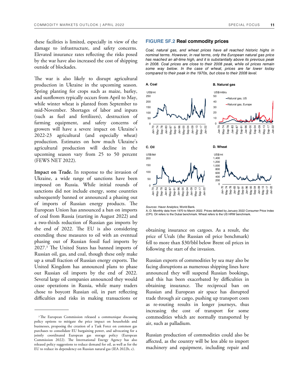these facilities is limited, especially in view of the damage to infrastructure, and safety concerns. Elevated insurance rates reflecting the risks posed by the war have also increased the cost of shipping outside of blockades.

The war is also likely to disrupt agricultural production in Ukraine in the upcoming season. Spring planting for crops such as maize, barley, and sunflowers typically occurs from April to May, while winter wheat is planted from September to mid-November. Shortages of labor and inputs (such as fuel and fertilizers), destruction of farming equipment, and safety concerns of growers will have a severe impact on Ukraine's 2022-23 agricultural (and especially wheat) production. Estimates on how much Ukraine's agricultural production will decline in the upcoming season vary from 25 to 50 percent (FEWS NET 2022).

**Impact on Trade.** In response to the invasion of Ukraine, a wide range of sanctions have been imposed on Russia. While initial rounds of sanctions did not include energy, some countries subsequently banned or announced a phasing out of imports of Russian energy products. The European Union has announced a ban on imports of coal from Russia (starting in August 2022) and a two-thirds reduction of Russian gas imports by the end of  $2022$ . The EU is also considering extending these measures to oil with an eventual phasing out of Russian fossil fuel imports by 2027.<sup>3</sup> The United States has banned imports of Russian oil, gas, and coal, though these only make up a small fraction of Russian energy exports. The United Kingdom has announced plans to phase out Russian oil imports by the end of 2022. Several large oil companies announced they would cease operations in Russia, while many traders chose to boycott Russian oil, in part reflecting difficulties and risks in making transactions or

#### **FIGURE SF.2 Real commodity prices**

Coal, natural gas, and wheat prices have all reached historic highs in nominal terms. However, in real terms, only the European natural gas price has reached an all-time high, and it is substantially above its previous peak in 2008. Coal prices are close to their 2008 peak, while oil prices remain some way below. In the case of wheat, prices are far lower today compared to their peak in the 1970s, but close to their 2008 level.



Sources: Haver Analytics; World Bank.

A.-D. Monthly data from 1970 to March 2022. Prices deflated by January 2022 Consumer Price Index (CPI). Oil refers to the Dubai benchmark. Wheat refers to the US HRW benchmark.

obtaining insurance on cargoes. As a result, the price of Urals (the Russian oil price benchmark) fell to more than \$30/bbl below Brent oil prices in following the start of the invasion.

Russian exports of commodities by sea may also be facing disruptions as numerous shipping lines have announced they will suspend Russian bookings, and this has been exacerbated by difficulties in obtaining insurance. The reciprocal ban on Russian and European air space has disrupted trade through air cargo, pushing up transport costs as re-routing results in longer journeys, thus increasing the cost of transport for some commodities which are normally transported by air, such as palladium.

Russian production of commodities could also be affected, as the country will be less able to import machinery and equipment, including repair and

<sup>&</sup>lt;sup>3</sup>The European Commission released a communique discussing policy options to mitigate the price impact on households and businesses, proposing the creation of a Task Force on common gas purchases to consolidate EU bargaining power, and advocating for a jointly coordinated European gas storage policy (European Commission 2022). The International Energy Agency has also released policy suggestions to reduce demand for oil, as well as for the EU to reduce its dependency on Russian natural gas (IEA 2022b, c).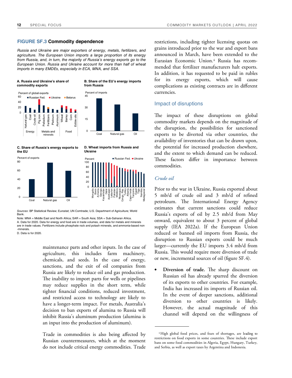#### **FIGURE SF.3 Commodity dependence**

Russia and Ukraine are major exporters of energy, metals, fertilizers, and agriculture. The European Union imports a large proportion of its energy from Russia, and, in turn, the majority of Russia's energy exports go to the European Union. Russia and Ukraine account for more than half of wheat imports in many EMDEs, especially in ECA, MNA, and SSA.



#### **[C. Share of Russia's energy exports to](https://thedocs.worldbank.org/en/doc/24e8d315b8229b791ea61e0fa09b28d0-0350012022/related/CMO-April-2022-special-focus.xlsx)  the EU**



**Ukraine** 

**D. Wheat imports from Russia and** 

Sources: BP Statistical Review; Eurostat; UN Comtrade; U.S. Department of Agriculture; World Bank.

Note: MNA = Middle East and North Africa; SAR = South Asia; SSA = Sub-Saharan Africa. A. Data for 2020. Data for energy and food are in trade volumes, and data for metals and minerals are in trade values. Fertilizers include phosphate rock and potash minerals, and ammonia-based non -minerals.

D. Data is for 2020.

maintenance parts and other inputs. In the case of agriculture, this includes farm machinery, chemicals, and seeds. In the case of energy, sanctions, and the exit of oil companies from Russia are likely to reduce oil and gas production. The inability to import parts for wells or pipelines may reduce supplies in the short term, while tighter financial conditions, reduced investment, and restricted access to technology are likely to have a longer-term impact. For metals, Australia's decision to ban exports of alumina to Russia will inhibit Russia's aluminum production (alumina is an input into the production of aluminum).

Trade in commodities is also being affected by Russian countermeasures, which at the moment do not include critical energy commodities. Trade restrictions, including tighter licensing quotas on grains introduced prior to the war and export bans announced in March, have been extended to the Eurasian Economic Union.<sup>4</sup> Russia has recommended that fertilizer manufacturers halt exports. In addition, it has requested to be paid in rubles for its energy exports, which will cause complications as existing contracts are in different currencies.

#### Impact of disruptions

The impact of these disruptions on global commodity markets depends on the magnitude of the disruption, the possibilities for sanctioned exports to be diverted via other countries, the availability of inventories that can be drawn upon, the potential for increased production elsewhere, and the extent to which demand can be reduced. These factors differ in importance between commodities.

#### *Crude oil*

Prior to the war in Ukraine, Russia exported about 5 mb/d of crude oil and 3 mb/d of refined petroleum. The International Energy Agency estimates that current sanctions could reduce Russia's exports of oil by 2.5 mb/d from May onward, equivalent to about 3 percent of global supply (IEA 2022a). If the European Union reduced or banned oil imports from Russia, the disruption to Russian exports could be much larger—currently the EU imports 3.4 mb/d from Russia. This would require more diversion of trade or new, incremental sources of oil (figure SF.4).

Diversion of trade. The sharp discount on Russian oil has already spurred the diversion of its exports to other countries. For example, India has increased its imports of Russian oil. In the event of deeper sanctions, additional diversion to other countries is likely. However, the actual magnitude of this channel will depend on the willingness of

<sup>4</sup>High global food prices, and fears of shortages, are leading to restrictions on food exports in some countries. These include export bans on some food commodities in Algeria, Egypt, Hungary, Turkey, and Serbia, as well as export taxes by Argentina and Indonesia.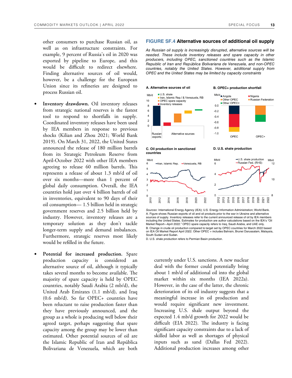other consumers to purchase Russian oil, as well as on infrastructure constraints. For example, 9 percent of Russia's oil in 2020 was exported by pipeline to Europe, and this would be difficult to redirect elsewhere. Finding alternative sources of oil would, however, be a challenge for the European Union since its refineries are designed to process Russian oil.

- Inventory drawdown. Oil inventory releases from strategic national reserves is the fastest tool to respond to shortfalls in supply. Coordinated inventory releases have been used by IEA members in response to previous shocks (Kilian and Zhou 2021; World Bank 2019). On March 31, 2022, the United States announced the release of 180 million barrels from its Strategic Petroleum Reserve from April-October 2022 with other IEA members agreeing to release 60 million barrels. This represents a release of about 1.3 mb/d of oil over six months—more than 1 percent of global daily consumption. Overall, the IEA countries hold just over 4 billion barrels of oil in inventories, equivalent to 90 days of their oil consumption— 1.5 billion held in strategic government reserves and 2.5 billion held by industry. However, inventory releases are a temporary solution as they don't tackle longer-term supply and demand imbalances. Furthermore, strategic reserves most likely would be refilled in the future.
- Potential for increased production. Spare production capacity is considered an alternative source of oil, although it typically takes several months to become available. The majority of spare capacity is held by OPEC countries, notably Saudi Arabia (2 mb/d), the United Arab Emirates (1.1 mb/d), and Iraq (0.6 mb/d). So far OPEC+ countries have been reluctant to raise production faster than they have previously announced, and the group as a whole is producing well below their agreed target, perhaps suggesting that spare capacity among the group may be lower than estimated. Other potential sources of oil are the Islamic Republic of Iran and República Bolivariana de Venezuela, which are both

#### **FIGURE SF.4 Alternative sources of additional oil supply**

As Russian oil supply is increasingly disrupted, alternative sources will be needed. These include inventory releases and spare capacity in other producers, including OPEC, sanctioned countries such as the Islamic Republic of Iran and República Bolivariana de Venezuela, and non-OPEC countries, notably the United States. However, additional supply from OPEC and the United States may be limited by capacity constraints

Mb/d<br> **Angola** 

 $0<sub>0</sub>$ 

 $-0.2$ 

 $-0.4$ 

 $-0.6$ 

 $-0.8$  $-1.0$  Other OPEC

Other OPEC+

A. Alternative sources of oil **B. OPEC+ production shortfall** 

#### $IIIS$  shale  $Mh/d$ la Iran, Islamic Rep./ & Venezuela, RB  $10$ OPEC spare capacity Inventory releases  $\bf8$  $\,6\,$  $\overline{4}$  $\overline{2}$  $\Omega$ Russian Alternative sources exports

# OPEC



 $Mb/c$ 

6 5  $\overline{4}$ 3  $\overline{c}$  $\mathbf{1}$ 

 $\mathbf 0$ 

2010



Sources: International Energy Agency (IEA); U.S. Energy Information Administration; World Bank. A. Figure shows Russian exports of oil and oil products prior to the war in Ukraine and alternative sources of supply. Inventory releases refer to the current announced release of oil by IEA members including the United States. Estimates for production are author calculations based on the IEA's "Oil Market Report—April 2022." OPEC spare capacity refers to Iraq, Saudi Arabia, and UAE only. B. Change in crude oil production compared to target set by OPEC countries for March 2022 based on IEA Oil Market Report April 2022. Other OPEC + includes Bahrain, Brunei Darussalam, Malaysia, South Sudan and Sudan.

D. U.S. shale production refers to Permian Basin production.

currently under U.S. sanctions. A new nuclear deal with the former could potentially bring about 1 mb/d of additional oil into the global market within six months (IEA 2022a). However, in the case of the latter, the chronic deterioration of its oil industry suggests that a meaningful increase in oil production and would require significant new investment. Increasing U.S. shale output beyond the expected 1.4 mb/d growth for 2022 would be difficult (EIA 2022). The industry is facing significant capacity constraints due to a lack of skilled labor as well as shortages of physical inputs such as sand (Dallas Fed 2022). Additional production increases among other

 $Ni<sub>q</sub>$ 

Russian Federation

OPEC+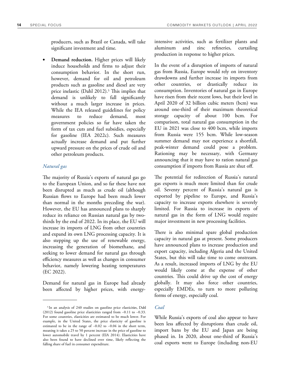producers, such as Brazil or Canada, will take significant investment and time.

• **Demand reduction.** Higher prices will likely induce households and firms to adjust their consumption behavior. In the short run, however, demand for oil and petroleum products such as gasoline and diesel are very price inelastic (Dahl 2012).<sup>5</sup> This implies that demand is unlikely to fall significantly without a much larger increase in prices. While the IEA released guidelines for policy measures to reduce demand, most government policies so far have taken the form of tax cuts and fuel subsidies, especially for gasoline (IEA 2022c). Such measures actually increase demand and put further upward pressure on the prices of crude oil and other petroleum products.

#### *Natural gas*

The majority of Russia's exports of natural gas go to the European Union, and so far these have not been disrupted as much as crude oil (although Russian flows to Europe had been much lower than normal in the months preceding the war). However, the EU has announced plans to sharply reduce its reliance on Russian natural gas by twothirds by the end of 2022. In its place, the EU will increase its imports of LNG from other countries and expand its own LNG processing capacity. It is also stepping up the use of renewable energy, increasing the generation of biomethane, and seeking to lower demand for natural gas through efficiency measures as well as changes in consumer behavior, namely lowering heating temperatures (EC 2022).

Demand for natural gas in Europe had already been affected by higher prices, with energyintensive activities, such as fertilizer plants and aluminum and zinc refineries, curtailing production in response to higher prices.

In the event of a disruption of imports of natural gas from Russia, Europe would rely on inventory drawdowns and further increase its imports from other countries, or drastically reduce its consumption. Inventories of natural gas in Europe have risen from their recent lows, but their level in April 2020 of 32 billion cubic meters (bcm) was around one-third of their maximum theoretical storage capacity of about 100 bcm. For comparison, total natural gas consumption in the EU in 2021 was close to 400 bcm, while imports from Russia were 155 bcm. While low-season summer demand may not experience a shortfall, peak-winter demand could pose a problem. Rationing may be necessary, with Germany announcing that it may have to ration natural gas consumption if imports from Russia are shut off.

The potential for redirection of Russia's natural gas exports is much more limited than for crude oil. Seventy percent of Russia's natural gas is exported by pipeline to Europe, and Russia's capacity to increase exports elsewhere is severely limited. For Russia to increase its exports of natural gas in the form of LNG would require major investment in new processing facilities.

There is also minimal spare global production capacity in natural gas at present. Some producers have announced plans to increase production and export capacity, including Algeria and the United States, but this will take time to come onstream. As a result, increased imports of LNG by the EU would likely come at the expense of other countries. This could drive up the cost of energy globally. It may also force other countries, especially EMDEs, to turn to more polluting forms of energy, especially coal.

#### *Coal*

While Russia's exports of coal also appear to have been less affected by disruptions than crude oil, import bans by the EU and Japan are being phased in. In 2020, about one-third of Russia's coal exports went to Europe (including non-EU

<sup>5</sup>In an analysis of 240 studies on gasoline price elasticities, Dahl (2012) found gasoline price elasticities ranged from −0.11 to −0.33. For some countries, elasticities are estimated to be much lower. For example, in the United States, the price elasticity of gasoline is estimated to be in the range of −0.02 to −0.04 in the short term, meaning it takes a 25 to 50 percent increase in the price of gasoline to lower automobile travel by 1 percent (EIA 2014). Elasticities have also been found to have declined over time, likely reflecting the falling share of fuel in consumer expenditure.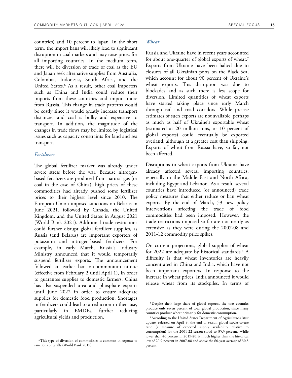countries) and 10 percent to Japan. In the short term, the import bans will likely lead to significant disruption in coal markets and may raise prices for all importing countries. In the medium term, there will be diversion of trade of coal as the EU and Japan seek alternative supplies from Australia, Colombia, Indonesia, South Africa, and the United States.<sup>6</sup> As a result, other coal importers such as China and India could reduce their imports from these countries and import more from Russia. This change in trade patterns would be costly since it would greatly increase transport distances, and coal is bulky and expensive to transport. In addition, the magnitude of the changes in trade flows may be limited by logistical issues such as capacity constraints for land and sea transport.

#### *Fertilizers*

The global fertilizer market was already under severe stress before the war. Because nitrogenbased fertilizers are produced from natural gas (or coal in the case of China), high prices of these commodities had already pushed some fertilizer prices to their highest level since 2010. The European Union imposed sanctions on Belarus in June 2021, followed by Canada, the United Kingdom, and the United States in August 2021 (World Bank 2021). Additional trade restrictions could further disrupt global fertilizer supplies, as Russia (and Belarus) are important exporters of potassium and nitrogen-based fertilizers. For example, in early March, Russia's Industry Ministry announced that it would temporarily suspend fertilizer exports. The announcement followed an earlier ban on ammonium nitrate (effective from February 2 until April 1), in order to guarantee supplies to domestic farmers. China has also suspended urea and phosphate exports until June 2022 in order to ensure adequate supplies for domestic food production. Shortages in fertilizers could lead to a reduction in their use, particularly in EMDEs, further reducing agricultural yields and production.

#### *Wheat*

Russia and Ukraine have in recent years accounted for about one-quarter of global exports of wheat.<sup>7</sup> Exports from Ukraine have been halted due to closures of all Ukrainian ports on the Black Sea, which account for about 90 percent of Ukraine's wheat exports. This disruption was due to blockades and as such there is less scope for diversion. Limited quantities of wheat exports have started taking place since early March through rail and road corridors. While precise estimates of such exports are not available, perhaps as much as half of Ukraine's exportable wheat (estimated at 20 million tons, or 10 percent of global exports) could eventually be exported overland, although at a greater cost than shipping. Exports of wheat from Russia have, so far, not been affected.

Disruptions to wheat exports from Ukraine have already affected several importing countries, especially in the Middle East and North Africa, including Egypt and Lebanon. As a result, several countries have introduced (or announced) trade policy measures that either reduce or ban wheat exports. By the end of March, 53 new policy interventions affecting the trade of food commodities had been imposed. However, the trade restrictions imposed so far are not nearly as extensive as they were during the 2007-08 and 2011-12 commodity price spikes.

On current projections, global supplies of wheat for 2022 are adequate by historical standards.<sup>8</sup> A difficulty is that wheat inventories are heavily concentrated in China and India, which have not been important exporters. In response to the increase in wheat prices, India announced it would release wheat from its stockpiles. In terms of

<sup>6</sup>This type of diversion of commodities is common in response to sanctions or tariffs (World Bank 2019).

<sup>7</sup>Despite their large share of global exports, the two countries produce only seven percent of total global production, since many countries produce wheat primarily for domestic consumption.

<sup>8</sup>According to the United States Department of Agriculture's latest update, released on April 9, the end of season global stocks-to-use ratio (a measure of expected supply availability relative to consumption) for the 2001-22 season stood to 35.3 percent. While lower than 40 percent in 2019-20, it much higher than the historical low of 20.9 percent in 2007-08 and above the 60-year average of 30.5 percent.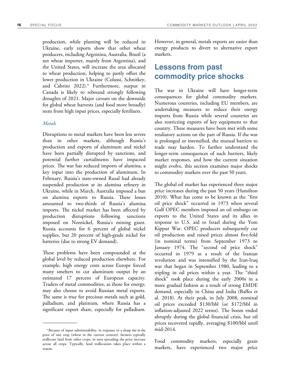production, while planting will be reduced in Ukraine, early reports show that other wheat producers, including Argentina, Australia, Brazil (a net wheat importer, mainly from Argentina), and the United States, will increase the area allocated to wheat production, helping to partly offset the lower production in Ukraine (Colussi, Schnitkey, and Cabrini 2022).<sup>9</sup> Furthermore, output in Canada is likely to rebound strongly following droughts of 2021. Major caveats on the downside for global wheat harvests (and food more broadly) stem from high input prices, especially fertilizers.

#### *Metals*

Disruptions to metal markets have been less severe than in other markets, although Russia's production and exports of aluminum and nickel have been partially disrupted by sanctions, and potential further curtailments have impacted prices. The war has reduced imports of alumina, a key input into the production of aluminum. In February, Russia's state-owned Rusal had already suspended production at its alumina refinery in Ukraine, while in March, Australia imposed a ban on alumina exports to Russia. These losses amounted to two-thirds of Russia's alumina imports. The nickel market has been affected by production disruptions following sanctions imposed on Nornickel, Russia's mining giant. Russia accounts for 6 percent of global nickel supplies, but 20 percent of high-grade nickel for batteries (due to strong EV demand).

These problems have been compounded at the global level by reduced production elsewhere. For example, high energy costs across Europe forced many smelters to cut aluminum output by an estimated 17 percent of European capacity. Traders of metal commodities, as those for energy, may also choose to avoid Russian metal exports. The same is true for precious metals such as gold, palladium, and platinum, where Russia has a significant export share, especially for palladium.

However, in general, metals exports are easier than energy products to divert to alternative export markets.

### **Lessons from past commodity price shocks**

The war in Ukraine will have longer-term consequences for global commodity markets. Numerous countries, including EU members, are undertaking measures to reduce their energy imports from Russia while several countries are also restricting exports of key equipment to that country. These measures have been met with some retaliatory actions on the part of Russia. If the war is prolonged or intensified, the mutual barriers to trade may harden. To further understand the longer-term consequences of such barriers, likely market responses, and how the current situation might evolve, this section examines major shocks to commodity markets over the past 50 years.

The global oil market has experienced three major price increases during the past 50 years (Hamilton 2010). What has come to be known as the "first oil price shock" occurred in 1973 when several Gulf OPEC members imposed an oil embargo on exports to the United States and its allies in response to U.S. aid to Israel during the Yom Kippur War. OPEC producers subsequently cut oil production and raised prices almost five-fold (in nominal terms) from September 1973 to January 1974. The "second oil price shock" occurred in 1979 as a result of the Iranian revolution and was intensified by the Iran-Iraq war that began in September 1980, leading to a tripling in oil prices within a year. The "third shock" took place during the early 2000s in a more gradual fashion as a result of strong EMDE demand, especially in China and India (Baffes et al. 2018). At their peak, in July 2008, nominal oil prices exceeded \$130/bbl (or \$172/bbl in inflation-adjusted 2022 terms). The boom ended abruptly during the global financial crisis, but oil prices recovered rapidly, averaging \$100/bbl until mid-2014.

Food commodity markets, especially grain markets, have experienced two major price

<sup>9</sup>Because of input substitutability, in response to a sharp rise in the price of one crop (wheat in the current context), farmers typically reallocate land from other crops, in turn spreading the price increase across all crops. Typically, land reallocation takes place within a season.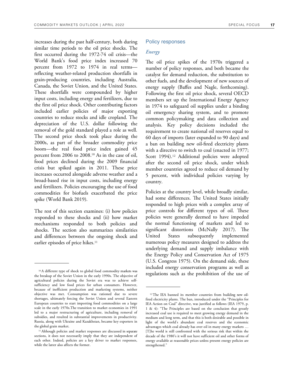increases during the past half-century, both during similar time periods to the oil price shocks. The first occurred during the 1972-74 oil crisis—the World Bank's food price index increased 70 percent from 1972 to 1974 in real terms reflecting weather-related production shortfalls in grain-producing countries, including Australia, Canada, the Soviet Union, and the United States. These shortfalls were compounded by higher input costs, including energy and fertilizers, due to the first oil price shock. Other contributing factors included earlier policies of major exporting countries to reduce stocks and idle cropland. The depreciation of the U.S. dollar following the removal of the gold standard played a role as well. The second price shock took place during the 2000s, as part of the broader commodity price boom—the real food price index gained 45 percent from 2006 to 2008.10 As in the case of oil, food prices declined during the 2009 financial crisis but spiked again in 2011. These price increases occurred alongside adverse weather and a broad-based rise in input costs, including energy and fertilizers. Policies encouraging the use of food commodities for biofuels exacerbated the price spike (World Bank 2019).

The rest of this section examines: (i) how policies responded to these shocks and (ii) how market mechanisms responded to both policies and shocks. The section also summarizes similarities and differences between the ongoing shock and earlier episodes of price hikes.<sup>11</sup>

#### Policy responses

#### *Energy*

The oil price spikes of the 1970s triggered a number of policy responses, and both became the catalyst for demand reduction, the substitution to other fuels, and the development of new sources of energy supply (Baffes and Nagle, forthcoming). Following the first oil price shock, several OECD members set up the International Energy Agency in 1974 to safeguard oil supplies under a binding oil emergency sharing system, and to promote common policymaking and data collection and analysis. Key policy decisions included the requirement to create national oil reserves equal to 60 days of imports (later expanded to 90 days) and a ban on building new oil-fired electricity plants with a directive to switch to coal (enacted in 1977; Scott 1994).<sup>12</sup> Additional policies were adopted after the second oil price shock, under which member countries agreed to reduce oil demand by 5 percent, with individual policies varying by country.

Policies at the country level, while broadly similar, had some differences. The United States initially responded to high prices with a complex array of price controls for different types of oil. These policies were generally deemed to have impeded the normal functioning of markets and led to significant distortions (McNally 2017). The United States subsequently implemented numerous policy measures designed to address the underlying demand and supply imbalance with the Energy Policy and Conservation Act of 1975 (U.S. Congress 1975). On the demand side, these included energy conservation programs as well as regulations such as the prohibition of the use of

<sup>10</sup>A different type of shock to global food commodity markets was the breakup of the Soviet Union in the early 1990s. The objective of agricultural policies during the Soviet era was to achieve selfsufficiency and low food prices for urban consumers. However, because of inefficient production and marketing systems, neither objective was met. Consumption was rationed due to severe shortages, ultimately forcing the Soviet Union and several Eastern European countries to start importing food commodities on a large scale in the early 1970s.The transition to market economies in 1991 led to a major restructuring of agriculture, including removal of subsidies, and resulted in substantial improvements in productivity. Russia, along with Ukraine and Kazakhstan, became key exporters in the global grain market.

<sup>11</sup>Although policies and market responses are discussed in separate sections, it does not necessarily imply that they are independent of each other. Indeed, policies are a key driver to market responses, while the latter also affects the former.

<sup>&</sup>lt;sup>12</sup> The IEA banned its member countries from building new oilfired electricity plants. The ban, introduced under the "Principles for IEA Action on Coal" directive, was justified as follows (IEA 1979, p. 1 & 4): "The Principles are based on the conclusion that greatly increased coal use is required to meet growing energy demand in the medium and long term, and that this is both desirable and possible in light of the world's abundant coal reserves and the economic advantages which coal already has over oil in many energy markets … [T]he world is still confronted with the serious risk that within the decade of the 1980's it will not have sufficient oil and other forms of energy available at reasonable prices unless present energy policies are strengthened."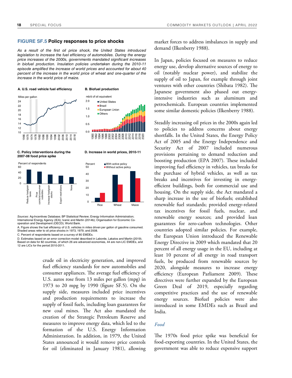#### **FIGURE SF.5 Policy responses to price shocks**

As a result of the first oil price shock, the United States introduced legislation to increase the fuel efficiency of automobiles. During the energy price increases of the 2000s, governments mandated significant increases in biofuel production. Insulation policies undertaken during the 2010-11 episode amplified the increase of world prices and accounted for about 40 percent of the increase in the world price of wheat and one-quarter of the increase in the world price of maize.



**[C. Policy interventions during the D. Increase in world prices, 2010-11](https://thedocs.worldbank.org/en/doc/24e8d315b8229b791ea61e0fa09b28d0-0350012022/related/CMO-April-2022-special-focus.xlsx)  2007-08 food price spike** 



Sources: Ag-Incentives Database; BP Statistical Review; Energy Information Administration; International Energy Agency (IEA); Ivanic and Martin (2014b); Organisation for Economic Cooperation and Development (OECD); World Bank.

A. Figure shows the fuel efficiency of U.S. vehicles in miles driven per gallon of gasoline consumed. Shaded areas refer to oil price shocks in 1973, 1979, and 2008.

C. Percent of respondents based on a survey of 80 EMDEs.

D. Estimates based on an error correction model described in Laborde, Lakatos and Martin (2019). Based on data for 82 countries, of which 26 are advanced economies, 44 are non-LIC EMDEs, and 12 are LICs for the period 2010-2011.

> crude oil in electricity generation, and improved fuel efficiency standards for new automobiles and consumer appliances. The average fuel efficiency of U.S. autos rose from 13 miles per gallon (mpg) in 1973 to 20 mpg by 1990 (figure SF.5). On the supply side, measures included price incentives and production requirements to increase the supply of fossil fuels, including loan guarantees for new coal mines. The Act also mandated the creation of the Strategic Petroleum Reserve and measures to improve energy data, which led to the formation of the U.S. Energy Information Administration. In addition, in 1979, the United States announced it would remove price controls for oil (eliminated in January 1981), allowing

market forces to address imbalances in supply and demand (Ilkenberry 1988).

In Japan, policies focused on measures to reduce energy use, develop alternative sources of energy to oil (notably nuclear power), and stabilize the supply of oil to Japan, for example through joint ventures with other countries (Shibata 1982). The Japanese government also phased out energyintensive industries such as aluminum and petrochemicals. European countries implemented some similar domestic policies (Ilkenberry 1988).

Steadily increasing oil prices in the 2000s again led to policies to address concerns about energy shortfalls. In the United States, the Energy Policy Act of 2005 and the Energy Independence and Security Act of 2007 included numerous provisions pertaining to demand reduction and boosting production (EPA 2007). These included improving fuel efficiency in vehicles, tax breaks for the purchase of hybrid vehicles, as well as tax breaks and incentives for investing in energyefficient buildings, both for commercial use and housing. On the supply side, the Act mandated a sharp increase in the use of biofuels; established renewable fuel standards; provided energy-related tax incentives for fossil fuels, nuclear, and renewable energy sources; and provided loan guarantees for zero-carbon technologies. Other countries adopted similar policies. For example, the European Union introduced the Renewable Energy Directive in 2009 which mandated that 20 percent of all energy usage in the EU, including at least 10 percent of all energy in road transport fuels, be produced from renewable sources by 2020, alongside measures to increase energy efficiency (European Parliament 2009). These directives were further expanded by the European Green Deal of 2019, especially regarding competitive practices and the use of renewable energy sources. Biofuel policies were also introduced in some EMDEs such as Brazil and India.

#### *Food*

The 1970s food price spike was beneficial for food-exporting countries. In the United States, the government was able to reduce expensive support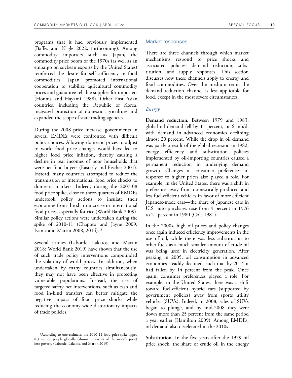programs that it had previously implemented (Baffes and Nagle 2022, forthcoming). Among commodity importers such as Japan, the commodity price boom of the 1970s (as well as an embargo on soybean exports by the United States) reinforced the desire for self-sufficiency in food commodities. Japan promoted international cooperation to stabilize agricultural commodity prices and guarantee reliable supplies for importers (Honma and Hayami 1988). Other East Asian countries, including the Republic of Korea, increased protection of domestic agriculture and expanded the scope of state trading agencies.

During the 2008 price increase, governments in several EMDEs were confronted with difficult policy choices. Allowing domestic prices to adjust to world food price changes would have led to higher food price inflation, thereby causing a decline in real incomes of poor households that were net food buyers (Easterly and Fischer 2001). Instead, many countries attempted to reduce the transmission of international food price shocks to domestic markets. Indeed, during the 2007-08 food price spike, close to three-quarters of EMDEs undertook policy actions to insulate their economies from the sharp increase in international food prices, especially for rice (World Bank 2009). Similar policy actions were undertaken during the spike of 2010-11 (Chapoto and Jayne 2009; Ivanic and Martin 2008, 2014).<sup>13</sup>

Several studies (Laborde, Lakatos, and Martin 2018; World Bank 2019) have shown that the use of such trade policy interventions compounded the volatility of world prices. In addition, when undertaken by many countries simultaneously, they may not have been effective in protecting vulnerable populations. Instead, the use of targeted safety net interventions, such as cash and food in-kind transfers can better mitigate the negative impact of food price shocks while reducing the economy-wide distortionary impacts of trade policies.

#### Market responses

There are three channels through which market mechanisms respond to price shocks and associated policies: demand reduction, substitution, and supply responses. This section discusses how these channels apply to energy and food commodities. Over the medium term, the demand reduction channel is less applicable for food, except in the most severe circumstances.

#### *Energy*

**Demand reduction.** Between 1979 and 1983, global oil demand fell by 11 percent, or 6 mb/d, with demand in advanced economies declining almost 20 percent. While the drop in oil demand was partly a result of the global recession in 1982, energy efficiency and substitution policies implemented by oil-importing countries caused a permanent reduction in underlying demand growth. Changes in consumer preferences in response to higher prices also played a role. For example, in the United States, there was a shift in preference away from domestically-produced and less fuel-efficient vehicles in favor of more efficient Japanese-made cars—the share of Japanese cars in U.S. auto purchases rose from 9 percent in 1976 to 21 percent in 1980 (Cole 1981).

In the 2000s, high oil prices and policy changes once again induced efficiency improvements in the use of oil, while there was less substitution to other fuels as a much smaller amount of crude oil was being used in electricity generation. After peaking in 2005, oil consumption in advanced economies steadily declined, such that by 2014 it had fallen by 14 percent from the peak. Once again, consumer preferences played a role. For example, in the United States, there was a shift toward fuel-efficient hybrid cars (supported by government policies) away from sports utility vehicles (SUVs). Indeed, in 2008, sales of SUVs began to plunge, and by mid-2008 they were down more than 25 percent from the same period a year earlier (Hamilton 2009). Among EMDEs, oil demand also decelerated in the 2010s.

**Substitution.** In the five years after the 1979 oil price shock, the share of crude oil in the energy

<sup>&</sup>lt;sup>13</sup> According to one estimate, the 2010-11 food price spike tipped 8.3 million people globally (almost 1 percent of the world's poor) into poverty (Laborde, Lakatos, and Martin 2019).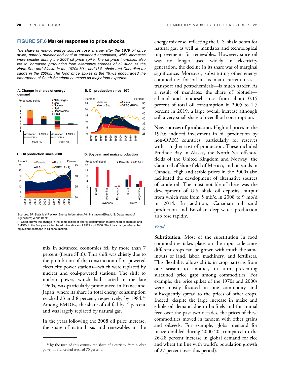#### **FIGURE SF.6 Market responses to price shocks**

The share of non-oil energy sources rose sharply after the 1979 oil price spike, notably nuclear and coal in advanced economies, while increases were smaller during the 2008 oil price spike. The oil price increases also led to increased production from alternative sources of oil such as the North Sea and Alaska in the 1970s-80s, and U.S. shale and Canadian tar sands in the 2000s. The food price spikes of the 1970s encouraged the emergence of South American countries as major food exporters.



Sources: BP Statistical Review; Energy Information Administration (EIA); U.S. Department of Agriculture; World Bank.

A. Chart shows the change in the composition of energy consumption in advanced economies and EMDEs in the five years after the oil price shocks of 1979 and 2008. The total change reflects the equivalent decrease in oil consumption.

> mix in advanced economies fell by more than 7 percent (figure SF.6). This shift was chiefly due to the prohibition of the construction of oil-powered electricity power stations—which were replaced by nuclear and coal-powered stations. The shift to nuclear power, which had started in the late 1960s, was particularly pronounced in France and Japan, where its share in total energy consumption reached 23 and 8 percent, respectively, by 1984.<sup>14</sup> Among EMDEs, the share of oil fell by 4 percent and was largely replaced by natural gas.

> In the years following the 2008 oil price increase, the share of natural gas and renewables in the

energy mix rose, reflecting the U.S. shale boom for natural gas, as well as mandates and technological improvements for renewables. However, since oil was no longer used widely in electricity generation, the decline in its share was of marginal significance. Moreover, substituting other energy commodities for oil in its main current uses transport and petrochemicals—is much harder. As a result of mandates, the share of biofuels ethanol and biodiesel—rose from about 0.15 percent of total oil consumption in 2005 to 1.7 percent in 2019, a large overall increase although still a very small share of overall oil consumption.

**New sources of production.** High oil prices in the 1970s induced investment in oil production by non-OPEC countries, particularly for reserves with a higher cost of production. These included Prudhoe Bay in Alaska, the North Sea offshore fields of the United Kingdom and Norway, the Cantarell offshore field of Mexico, and oil sands in Canada. High and stable prices in the 2000s also facilitated the development of alternative sources of crude oil. The most notable of these was the development of U.S. shale oil deposits, output from which rose from 5 mb/d in 2008 to 9 mb/d in 2014. In addition, Canadian oil sand production and Brazilian deep-water production also rose rapidly.

#### *Food*

**Substitution.** Most of the substitution in food commodities takes place on the input side since different crops can be grown with much the same inputs of land, labor, machinery, and fertilizers. This flexibility allows shifts in crop patterns from one season to another, in turn preventing sustained price gaps among commodities. For example, the price spikes of the 1970s and 2000s were mostly focused in one commodity and subsequently spread to the prices of other crops. Indeed, despite the large increase in maize and edible oil demand due to biofuels and for animal feed over the past two decades, the prices of these commodities moved in tandem with other grains and oilseeds. For example, global demand for maize doubled during 2000-20, compared to the 26-28 percent increase in global demand for rice and wheat (in line with world's population growth of 27 percent over this period).

<sup>&</sup>lt;sup>14</sup> By the turn of this century the share of electricity from nuclear power in France had reached 70 percent.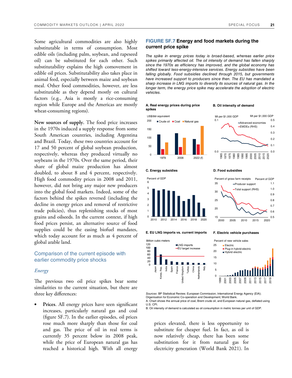Some agricultural commodities are also highly substitutable in terms of consumption. Most edible oils (including palm, soybean, and rapeseed oil) can be substituted for each other. Such substitutability explains the high comovement in edible oil prices. Substitutability also takes place in animal feed, especially between maize and soybean meal. Other food commodities, however, are less substitutable as they depend mostly on cultural factors (e.g., Asia is mostly a rice-consuming region while Europe and the Americas are mostly wheat-consuming regions).

**New sources of supply.** The food price increases in the 1970s induced a supply response from some South American countries, including Argentina and Brazil. Today, these two countries account for 17 and 50 percent of global soybean production, respectively, whereas they produced virtually no soybeans in the 1970s. Over the same period, their share of global maize production has almost doubled, to about 8 and 4 percent, respectively. High food commodity prices in 2008 and 2011, however, did not bring any major new producers into the global food markets. Indeed, some of the factors behind the spikes reversed (including the decline in energy prices and removal of restrictive trade policies), thus replenishing stocks of most grains and oilseeds. In the current context, if high food prices persist, an alternative source of food supplies could be the easing biofuel mandates, which today account for as much as 4 percent of global arable land.

#### Comparison of the current episode with earlier commodity price shocks

#### *Energy*

The previous two oil price spikes bear some similarities to the current situation, but there are three key differences:

Prices. All energy prices have seen significant increases, particularly natural gas and coal (figure SF.7). In the earlier episodes, oil prices rose much more sharply than those for coal and gas. The price of oil in real terms is currently 35 percent below its 2008 peak, while the price of European natural gas has reached a historical high. With all energy

#### **FIGURE SF.7 Energy and food markets during the current price spike**

The spike in energy prices today is broad-based, whereas earlier price spikes primarily affected oil. The oil intensity of demand has fallen sharply since the 1970s as efficiency has improved, and the global economy has shifted toward less-energy-intensive services. Energy subsidies have been falling globally. Food subsidies declined through 2015, but governments have increased support to producers since then. The EU has mandated a sharp increase in LNG imports to diversify its sources of natural gas. In the longer term, the energy price spike may accelerate the adoption of electric vehicles.

**A. Real energy prices during price B. Oil intensity of demand spikes** 

Crude oil Coal Natural gas

2008





**C. Energy subsidies D. Food subsidies** 

1979

US\$/bbl equivalent

200





**[E. EU LNG imports vs. current imports F. Electric vehicle purchases](https://thedocs.worldbank.org/en/doc/24e8d315b8229b791ea61e0fa09b28d0-0350012022/related/CMO-April-2022-special-focus.xlsx)** 



Sources: BP Statistical Review; European Commission; International Energy Agency (EIA); Organisation for Economic Co-operation and Development; World Bank. A. Chart shows the annual price of coal, Brent crude oil, and European natural gas, deflated using

U.S. CPI.

B. Oil intensity of demand is calculated as oil consumption in metric tonnes per unit of GDP.

prices elevated, there is less opportunity to substitute for cheaper fuel. In fact, as oil is now relatively cheap, there has been some substitution for it from natural gas for electricity generation (World Bank 2021). In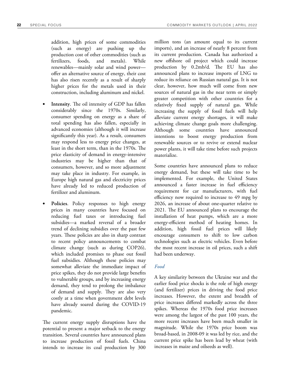addition, high prices of some commodities (such as energy) are pushing up the production cost of other commodities (such as fertilizers, foods, and metals). While renewables—mainly solar and wind power offer an alternative source of energy, their cost has also risen recently as a result of sharply higher prices for the metals used in their construction, including aluminum and nickel.

- **Intensity**. The oil intensity of GDP has fallen considerably since the 1970s. Similarly, consumer spending on energy as a share of total spending has also fallen, especially in advanced economies (although it will increase significantly this year). As a result, consumers may respond less to energy price changes, at least in the short term, than in the 1970s. The price elasticity of demand in energy-intensive industries may be higher than that of consumers, however, and so more adjustment may take place in industry. For example, in Europe high natural gas and electricity prices have already led to reduced production of fertilizer and aluminum.
- Policies. Policy responses to high energy prices in many countries have focused on reducing fuel taxes or introducing fuel subsidies—a marked reversal of a broader trend of declining subsidies over the past few years. These policies are also in sharp contrast to recent policy announcements to combat climate change (such as during COP26), which included promises to phase out fossil fuel subsidies. Although these policies may somewhat alleviate the immediate impact of price spikes, they do not provide large benefits to vulnerable groups, and by increasing energy demand, they tend to prolong the imbalance of demand and supply. They are also very costly at a time when government debt levels have already soared during the COVID-19 pandemic.

The current energy supply disruptions have the potential to present a major setback to the energy transition. Several countries have announced plans to increase production of fossil fuels. China intends to increase its coal production by 300

million tons (an amount equal to its current imports), and an increase of nearly 8 percent from its current production. Canada has authorized a new offshore oil project which could increase production by 0.2mb/d. The EU has also announced plans to increase imports of LNG to reduce its reliance on Russian natural gas. It is not clear, however, how much will come from new sources of natural gas in the near term or simply greater competition with other countries for a relatively fixed supply of natural gas. While increasing the supply of fossil fuels will help alleviate current energy shortages, it will make achieving climate change goals more challenging. Although some countries have announced intentions to boost energy production from renewable sources or to revive or extend nuclear power plants, it will take time before such projects materialize.

Some countries have announced plans to reduce energy demand, but these will take time to be implemented. For example, the United States announced a faster increase in fuel efficiency requirement for car manufacturers, with fuel efficiency now required to increase to 49 mpg by 2026, an increase of about one-quarter relative to 2021. The EU announced plans to encourage the installation of heat pumps, which are a more energy-efficient method of heating homes. In addition, high fossil fuel prices will likely encourage consumers to shift to low carbon technologies such as electric vehicles. Even before the most recent increase in oil prices, such a shift had been underway.

#### *Food*

A key similarity between the Ukraine war and the earlier food price shocks is the role of high energy (and fertilizer) prices in driving the food price increases. However, the extent and breadth of price increases differed markedly across the three spikes. Whereas the 1970s food price increases were among the largest of the past 100 years, the more recent increases have been much smaller in magnitude. While the 1970s price boom was broad-based, in 2008-09 it was led by rice, and the current price spike has been lead by wheat (with increases in maize and oilseeds as well).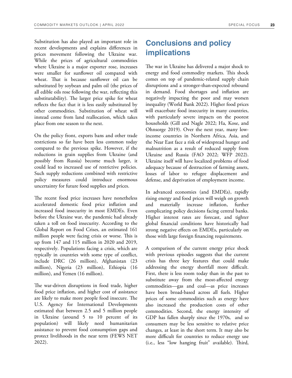Substitution has also played an important role in recent developments and explains differences in prices movement following the Ukraine war. While the prices of agricultural commodities where Ukraine is a major exporter rose, increases were smaller for sunflower oil compared with wheat. That is because sunflower oil can be substituted by soybean and palm oil (the prices of all edible oils rose following the war, reflecting this substitutability). The larger price spike for wheat reflects the fact that it is less easily substituted by other commodities. Substitution of wheat will instead come from land reallocation, which takes place from one season to the next.

On the policy front, exports bans and other trade restrictions so far have been less common today compared to the previous spike. However, if the reductions in grain supplies from Ukraine (and possibly from Russia) become much larger, it could lead to increased use of restrictive policies. Such supply reductions combined with restrictive policy measures could introduce enormous uncertainty for future food supplies and prices.

The recent food price increases have nonetheless accelerated domestic food price inflation and increased food insecurity in most EMDEs. Even before the Ukraine war, the pandemic had already taken a toll on food insecurity. According to the Global Report on Food Crises, an estimated 161 million people were facing crisis or worse. This is up from 147 and 115 million in 2020 and 2019, respectively. Populations facing a crisis, which are typically in countries with some type of conflict, include DRC (26 million), Afghanistan (23 million), Nigeria (23 million), Ethiopia (16 million), and Yemen (16 million).

The war-driven disruptions in food trade, higher food price inflation, and higher cost of assistance are likely to make more people food insecure. The U.S. Agency for International Developments estimated that between 2.5 and 5 million people in Ukraine (around 5 to 10 percent of its population) will likely need humanitarian assistance to prevent food consumption gaps and protect livelihoods in the near term (FEWS NET 2022).

## **Conclusions and policy implications**

The war in Ukraine has delivered a major shock to energy and food commodity markets. This shock comes on top of pandemic-related supply chain disruptions and a stronger-than-expected rebound in demand. Food shortages and inflation are negatively impacting the poor and may worsen inequality (World Bank 2022). Higher food prices will exacerbate food insecurity in many countries, with particularly severe impacts on the poorest households (Gill and Nagle 2022; Ha, Kose, and Ohnsorge 2019). Over the next year, many lowincome countries in Northern Africa, Asia, and the Near East face a risk of widespread hunger and malnutrition as a result of reduced supply from Ukraine and Russia (FAO 2022; WFP 2022). Ukraine itself will have localized problems of food adequacy because of destruction of farming assets, losses of labor to refugee displacement and defense, and deprivation of employment income.

In advanced economies (and EMDEs), rapidly rising energy and food prices will weigh on growth and materially increase inflation, further complicating policy decisions facing central banks. Higher interest rates are forecast, and tighter global financial conditions have historically had strong negative effects on EMDEs, particularly on those with large foreign financing requirements.

A comparison of the current energy price shock with previous episodes suggests that the current crisis has three key features that could make addressing the energy shortfall more difficult. First, there is less room today than in the past to substitute away from the most-affected energy commodities—gas and coal—as price increases have been broad-based across all fuels. Higher prices of some commodities such as energy have also increased the production costs of other commodities. Second, the energy intensity of GDP has fallen sharply since the 1970s, and so consumers may be less sensitive to relative price changes, at least in the short term. It may also be more difficult for countries to reduce energy use (i.e., less "low hanging fruit" available). Third,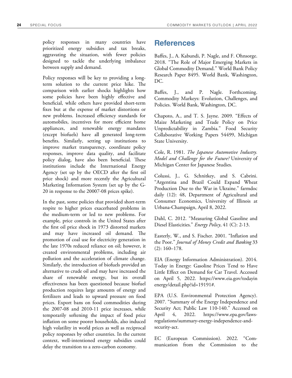policy responses in many countries have prioritized energy subsidies and tax breaks, aggravating the situation, with fewer policies designed to tackle the underlying imbalance between supply and demand.

Policy responses will be key to providing a longterm solution to the current price hike. The comparison with earlier shocks highlights how some policies have been highly effective and beneficial, while others have provided short-term fixes but at the expense of market distortions or new problems. Increased efficiency standards for automobiles, incentives for more efficient home appliances, and renewable energy mandates (except biofuels) have all generated long-term benefits. Similarly, setting up institutions to improve market transparency, coordinate policy responses, improve data quality, and facilitate policy dialog, have also been beneficial. These institutions include the International Energy Agency (set up by the OECD after the first oil price shock) and more recently the Agricultural Marketing Information System (set up by the G-20 in response to the 20007-08 prices spike).

In the past, some policies that provided short-term respite to higher prices exacerbated problems in the medium-term or led to new problems. For example, price controls in the United States after the first oil price shock in 1973 distorted markets and may have increased oil demand. The promotion of coal use for electricity generation in the late 1970s reduced reliance on oil; however, it created environmental problems, including air pollution and the acceleration of climate change. Similarly, the introduction of biofuels provided an alternative to crude oil and may have increased the share of renewable energy, but its overall effectiveness has been questioned because biofuel production requires large amounts of energy and fertilizers and leads to upward pressure on food prices. Export bans on food commodities during the 2007-08 and 2010-11 price increases, while temporarily softening the impact of food price inflation on some poorer households, also induced high volatility in world prices as well as reciprocal policy responses by other countries. In the current context, well-intentioned energy subsidies could delay the transition to a zero-carbon economy.

### **References**

Baffes, J., A. Kabundi, P. Nagle, and F. Ohnsorge. 2018. "The Role of Major Emerging Markets in Global Commodity Demand." World Bank Policy Research Paper 8495. World Bank, Washington, DC.

Baffes, J., and P. Nagle. Forthcoming. Commodity Markeys: Evolution, Challenges, and Policies. World Bank, Washington, DC.

Chapoto, A., and T. S. Jayne. 2009. "Effects of Maize Marketing and Trade Policy on Price Unpredictability in Zambia." Food Security Collaborative Working Papers 54499, Michigan State University.

Cole, R. 1981. *The Japanese Automotive Industry. Model and Challenge for the Future?* University of Michigan Center for Japanese Studies.

Colussi, J., G. Schnitkey, and S. Cabrini. "Argentina and Brazil Could Expand Wheat Production Due to the War in Ukraine." farmdoc daily (12): 48, Department of Agricultural and Consumer Economics, University of Illinois at Urbana-Champaign, April 8, 2022.

Dahl, C. 2012. "Measuring Global Gasoline and Diesel Elasticities." *Energy Policy*, 41 (C): 2-13.

Easterly, W., and S. Fischer. 2001. "Inflation and the Poor." *Journal of Money Credit and Banking* 33 (2): 160–178.

EIA (Energy Information Administration). 2014. Today in Energy: Gasoline Prices Tend to Have Little Effect on Demand for Car Travel. Accessed on April 5, 2022. https://www.eia.gov/todayin energy/detail.php?id=19191#.

EPA (U.S. Environmental Protection Agency). 2007. "Summary of the Energy Independence and Security Act; Public Law 110-140." Accessed on April 4, 2022. https://www.epa.gov/lawsregulations/summary-energy-independence-andsecurity-act.

EC (European Commission). 2022. "Communication from the Commission to the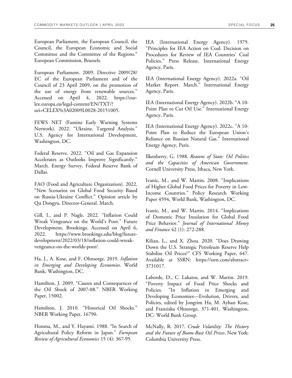European Parliament, the European Council, the Council, the European Economic and Social Committee and the Committee of the Regions." European Commission, Brussels.

European Parliament. 2009. Directive 2009/28/ EC of the European Parliament and of the Council of 23 April 2009, on the promotion of the use of energy from renewable sources." Accessed on April 4, 2022. https://eurlex.europa.eu/legal-content/EN/TXT/? uri=CELEX%3A02009L0028-20151005.

FEWS NET (Famine Early Warning Systems Network). 2022. "Ukraine. Targeted Analysis." U.S. Agency for International Development, Washington, DC.

Federal Reserve. 2022. "Oil and Gas Expansion Accelerates as Outlooks Improve Significantly." March. Energy Survey, Federal Reserve Bank of Dallas.

FAO (Food and Agriculture Organization). 2022. "New Scenarios on Global Food Security Based on Russia-Ukraine Conflict." Opinion article by Qu Dongyu, Director-General. March.

Gill, I., and P. Nagle. 2022. "Inflation Could Wreak Vengeance on the World's Poor." Future Development, Brookings. Accessed on April 6, 2022. https://www.brookings.edu/blog/futuredevelopment/2022/03/18/inflation-could-wreakvengeance-on-the-worlds-poor/.

Ha, J., A. Kose, and F. Ohnsorge. 2019. *Inflation in Emerging and Developing Economies*. World Bank, Washington, DC.

Hamilton, J. 2009. "Causes and Consequences of the Oil Shock of 2007-08." NBER Working Paper, 15002.

Hamilton, J. 2010. "Historical Oil Shocks." NBER Working Paper, 16790.

Honma, M., and Y. Hayami. 1988. "In Search of Agricultural Policy Reform in Japan." *European Review of Agricultural Economics* 15 (4): 367-95.

IEA (International Energy Agency). 1979. "Principles for IEA Action on Coal: Decision on Procedures for Review of IEA Countries' Coal Policies." Press Release. International Energy Agency, Paris.

IEA (International Energy Agency). 2022a. "Oil Market Report. March." International Energy Agency, Paris.

IEA (International Energy Agency). 2022b. "A 10- Point Plan to Cut Oil Use." International Energy Agency, Paris.

IEA (International Energy Agency). 2022c. "A 10- Point Plan to Reduce the European Union's Reliance on Russian Natural Gas." International Energy Agency, Paris.

Ilkenberry, G. 1988. *Reasons of State: Oil Politics and the Capacities of American Government*. Cornell University Press, Ithaca, New York.

Ivanic, M., and W. Martin. 2008. "Implications of Higher Global Food Prices for Poverty in Low-Income Countries." Policy Research Working Paper 4594, World Bank, Washington, DC.

Ivanic, M., and W. Martin. 2014. "Implications of Domestic Price Insulation for Global Food Price Behavior." *Journal of International Money and Finance* 42 (1): 272-288.

Kilian, L., and X. Zhou. 2020. "Does Drawing Down the U.S. Strategic Petroleum Reserve Help Stabilize Oil Prices?" CFS Working Paper, 647. Available at SSRN: https://ssrn.com/abstract= 3731017.

Laborde, D., C. Lakatos, and W. Martin. 2019. "Poverty Impact of Food Price Shocks and Policies. "In Inflation in Emerging and Developing Economies—Evolution, Drivers, and Policies, edited by Jongrim Ha, M. Ayhan Kose, and Franziska Ohnsorge, 371-401. Washington, DC: World Bank Group.

McNally, R. 2017. *Crude Volatility: The History and the Future of Boom-Bust Oil Prices*. New York: Columbia University Press.